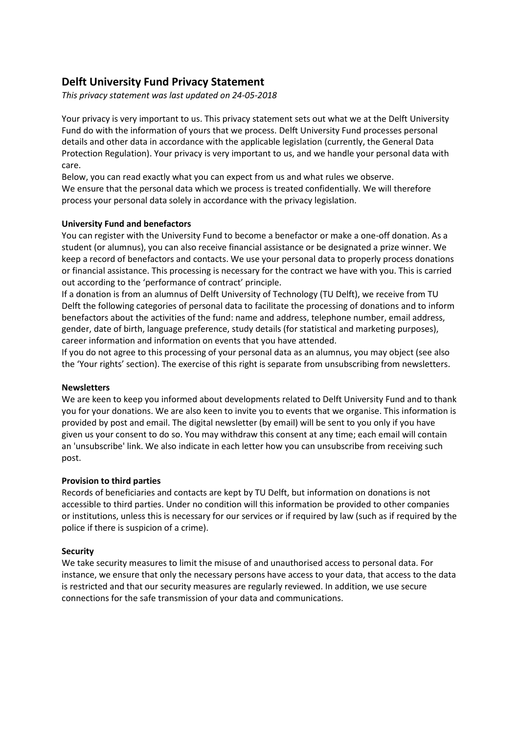# **Delft University Fund Privacy Statement**

*This privacy statement was last updated on 24-05-2018* 

Your privacy is very important to us. This privacy statement sets out what we at the Delft University Fund do with the information of yours that we process. Delft University Fund processes personal details and other data in accordance with the applicable legislation (currently, the General Data Protection Regulation). Your privacy is very important to us, and we handle your personal data with care.

Below, you can read exactly what you can expect from us and what rules we observe. We ensure that the personal data which we process is treated confidentially. We will therefore process your personal data solely in accordance with the privacy legislation.

# **University Fund and benefactors**

You can register with the University Fund to become a benefactor or make a one-off donation. As a student (or alumnus), you can also receive financial assistance or be designated a prize winner. We keep a record of benefactors and contacts. We use your personal data to properly process donations or financial assistance. This processing is necessary for the contract we have with you. This is carried out according to the 'performance of contract' principle.

If a donation is from an alumnus of Delft University of Technology (TU Delft), we receive from TU Delft the following categories of personal data to facilitate the processing of donations and to inform benefactors about the activities of the fund: name and address, telephone number, email address, gender, date of birth, language preference, study details (for statistical and marketing purposes), career information and information on events that you have attended.

If you do not agree to this processing of your personal data as an alumnus, you may object (see also the 'Your rights' section). The exercise of this right is separate from unsubscribing from newsletters.

## **Newsletters**

We are keen to keep you informed about developments related to Delft University Fund and to thank you for your donations. We are also keen to invite you to events that we organise. This information is provided by post and email. The digital newsletter (by email) will be sent to you only if you have given us your consent to do so. You may withdraw this consent at any time; each email will contain an 'unsubscribe' link. We also indicate in each letter how you can unsubscribe from receiving such post.

## **Provision to third parties**

Records of beneficiaries and contacts are kept by TU Delft, but information on donations is not accessible to third parties. Under no condition will this information be provided to other companies or institutions, unless this is necessary for our services or if required by law (such as if required by the police if there is suspicion of a crime).

## **Security**

We take security measures to limit the misuse of and unauthorised access to personal data. For instance, we ensure that only the necessary persons have access to your data, that access to the data is restricted and that our security measures are regularly reviewed. In addition, we use secure connections for the safe transmission of your data and communications.